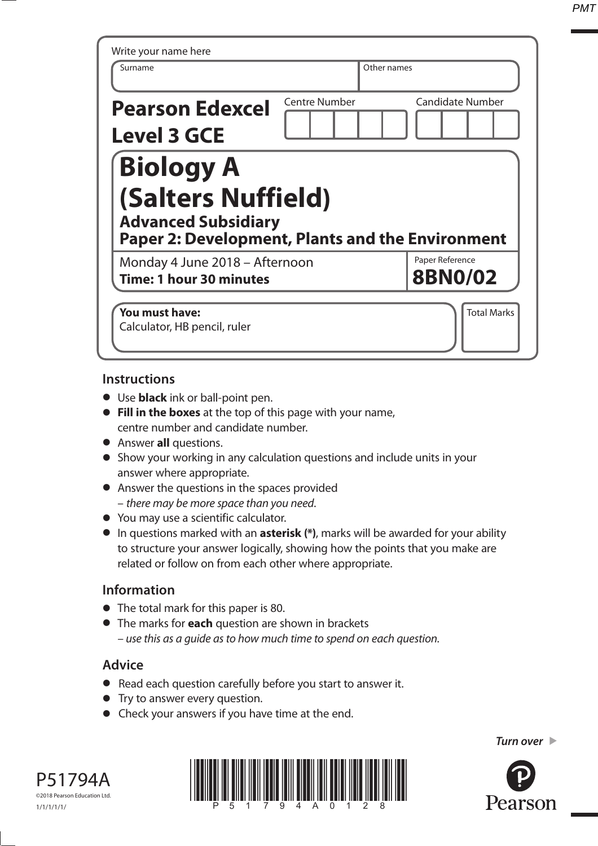| Surname                                                                                                                                |                      | Other names      |
|----------------------------------------------------------------------------------------------------------------------------------------|----------------------|------------------|
| <b>Pearson Edexcel</b><br><b>Level 3 GCE</b>                                                                                           | <b>Centre Number</b> | Candidate Number |
| <b>Biology A</b><br><b>(Salters Nuffield)</b><br><b>Advanced Subsidiary</b><br><b>Paper 2: Development, Plants and the Environment</b> |                      |                  |
| Monday 4 June 2018 - Afternoon                                                                                                         |                      | Paper Reference  |
| <b>Time: 1 hour 30 minutes</b>                                                                                                         |                      | <b>8BN0/02</b>   |

## **Instructions**

- **•** Use **black** ink or ball-point pen.
- **• Fill in the boxes** at the top of this page with your name, centre number and candidate number.
- **•** Answer **all** questions.
- **•** Show your working in any calculation questions and include units in your answer where appropriate.
- **•** Answer the questions in the spaces provided – there may be more space than you need.
- **•** You may use a scientific calculator.
- **•** In questions marked with an **asterisk (\*)**, marks will be awarded for your ability to structure your answer logically, showing how the points that you make are related or follow on from each other where appropriate.

## **Information**

- **•** The total mark for this paper is 80.
- **•** The marks for **each** question are shown in brackets – use this as a guide as to how much time to spend on each question.

## **Advice**

- **•** Read each question carefully before you start to answer it.
- **•** Try to answer every question.
- **•** Check your answers if you have time at the end.







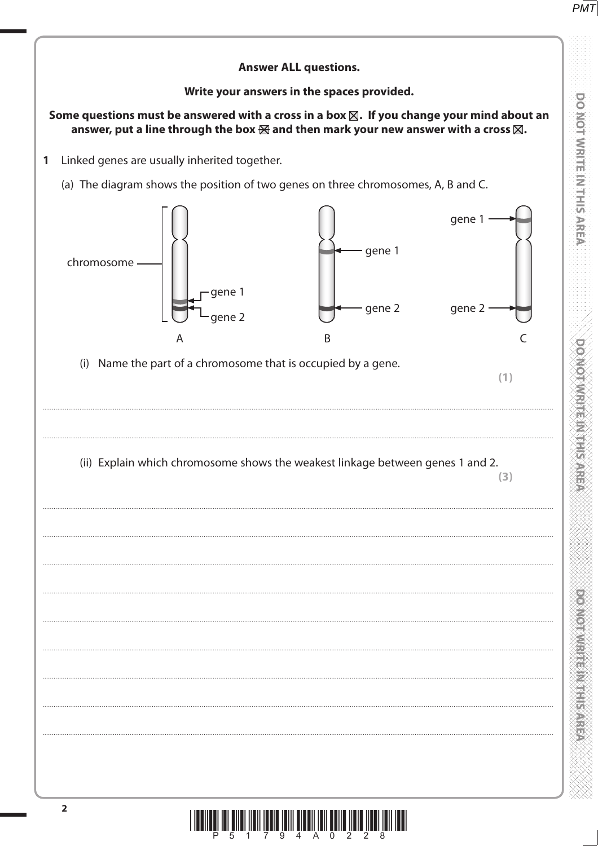

 $\overline{4}$  A

**POSTORY CONTROL STATES**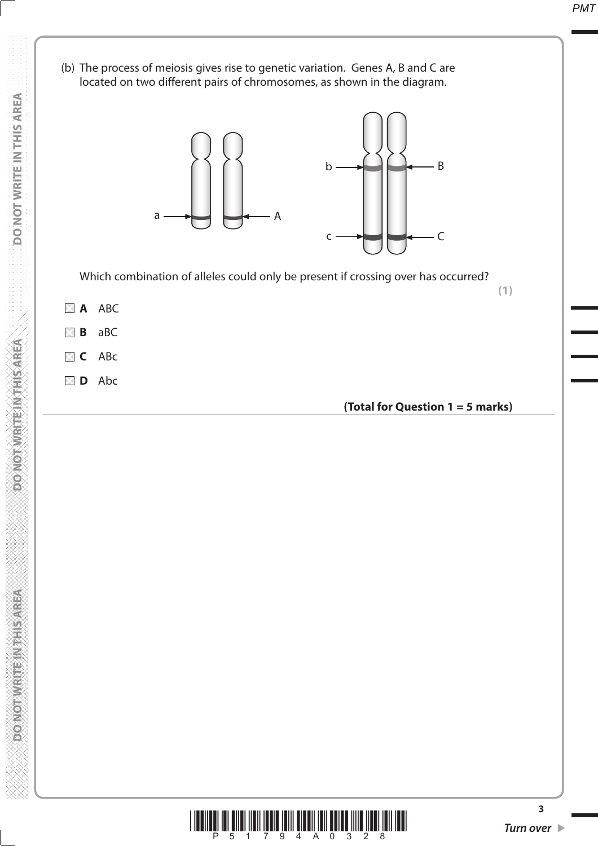

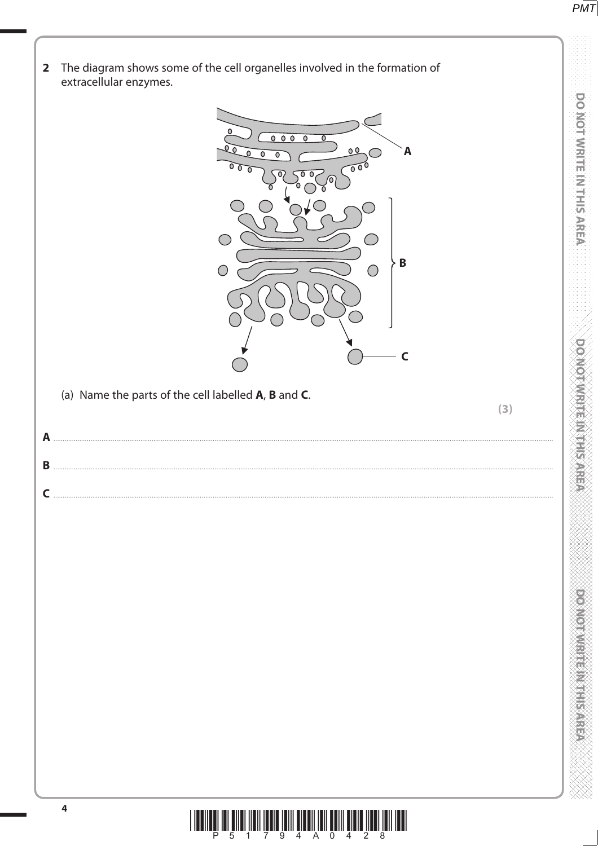

**DO NOT WRITE IN THIS AREA** 

**DOMOTAWREIDER HERRE** 

**DOWOIW:urementskies** 

<u>ud müümin hundum ümnüm sun tun hundum per</u>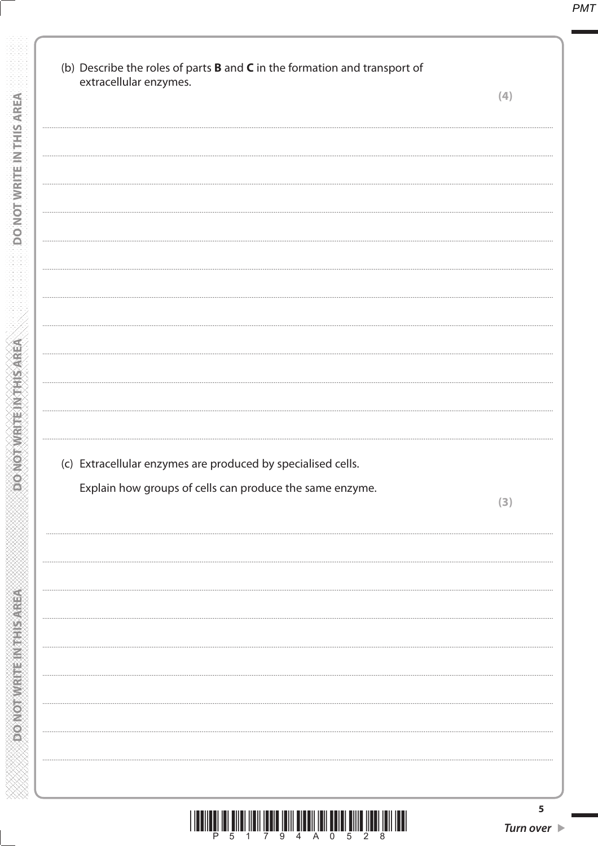| extracellular enzymes.                                       | (4) |
|--------------------------------------------------------------|-----|
|                                                              |     |
|                                                              |     |
|                                                              |     |
|                                                              |     |
|                                                              |     |
|                                                              |     |
|                                                              |     |
|                                                              |     |
|                                                              |     |
|                                                              |     |
|                                                              |     |
|                                                              |     |
|                                                              |     |
|                                                              |     |
|                                                              |     |
|                                                              |     |
|                                                              |     |
| (c) Extracellular enzymes are produced by specialised cells. |     |
| Explain how groups of cells can produce the same enzyme.     | 3   |
|                                                              |     |
|                                                              |     |
|                                                              |     |
|                                                              |     |
|                                                              |     |
|                                                              |     |
|                                                              |     |
|                                                              |     |
|                                                              |     |
|                                                              |     |
|                                                              |     |
|                                                              |     |
|                                                              |     |

**DO NOT WRITE IN THIS AREA WARRANT DO NOT WRITE IN THIS AREA**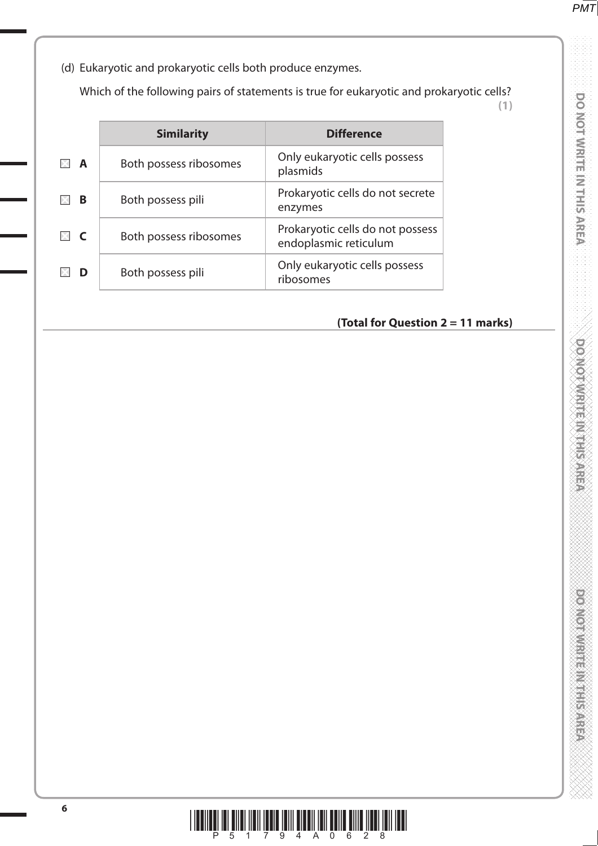**DO NOT WRITE IN THIS AREA DO NOT WRITE IN THIS AREA DO NOT WRITE IN THIS AREA DO NOT WRITE IN THIS AREA DO NOT WRITE IN THIS AREA DO NOT WRITE IN THIS AREA DO NOT WRITE IN THIS AREA DO NOT WRITE IN THIS AREA DO NOT WRITE** 

**DOMOTWRITE(NTHISAREA** 

**DOO YOU WELFARE WELFARE** 

(d) Eukaryotic and prokaryotic cells both produce enzymes.

Which of the following pairs of statements is true for eukaryotic and prokaryotic cells?

**(1)**

|            | <b>Similarity</b>      | Difference                                                |
|------------|------------------------|-----------------------------------------------------------|
| A          | Both possess ribosomes | Only eukaryotic cells possess<br>plasmids                 |
| B          | Both possess pili      | Prokaryotic cells do not secrete<br>enzymes               |
| $\epsilon$ | Both possess ribosomes | Prokaryotic cells do not possess<br>endoplasmic reticulum |
|            | Both possess pili      | Only eukaryotic cells possess<br>ribosomes                |

## **(Total for Question 2 = 11 marks)**

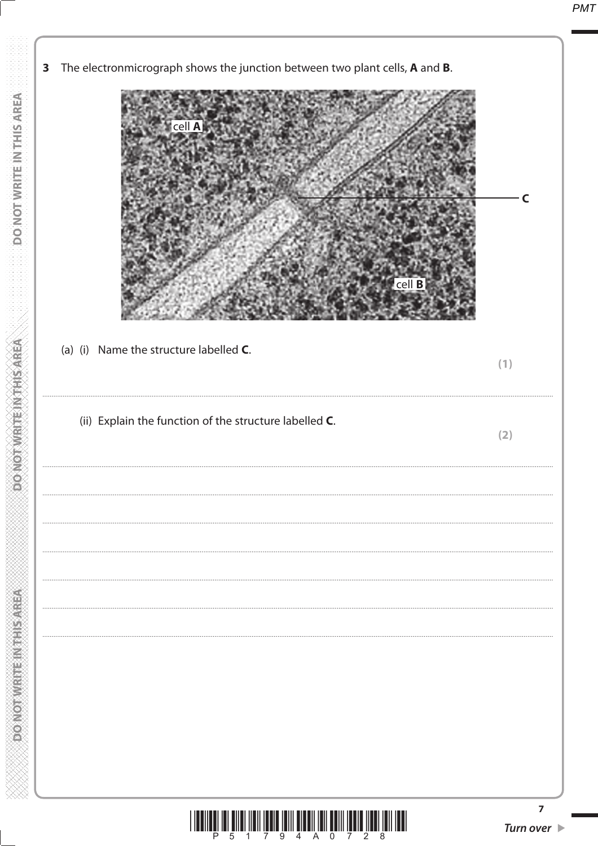

P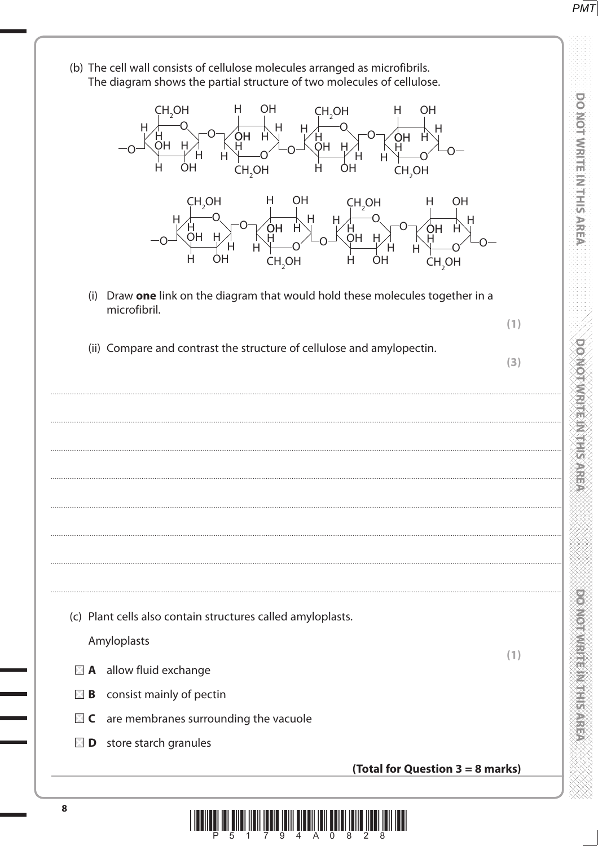| (b) The cell wall consists of cellulose molecules arranged as microfibrils.                                                                                |     |
|------------------------------------------------------------------------------------------------------------------------------------------------------------|-----|
| The diagram shows the partial structure of two molecules of cellulose.                                                                                     |     |
| ΟH<br>ΟH<br>¢H,OH<br>ÇH <sub>2</sub> OH<br>$\sqrt{OH}$<br><b>OH</b><br>(Н<br>∖ОН<br>H<br>H<br>CH <sub>2</sub> OH<br>CH <sub>2</sub> OH                     |     |
| <b>OH</b><br>ÇH <sub>2</sub> OH<br>H<br>CH <sub>2</sub> OH<br>ΟH<br>н<br>H<br>$\sim$ $\frac{1}{H}$<br>H<br>ОH<br>$\bigcirc$ H $\bigcirc$<br>CH,OH<br>CH,OH |     |
| (i) Draw one link on the diagram that would hold these molecules together in a<br>microfibril.                                                             |     |
|                                                                                                                                                            | (1) |
| (ii) Compare and contrast the structure of cellulose and amylopectin.                                                                                      | (3) |
|                                                                                                                                                            |     |
|                                                                                                                                                            |     |
|                                                                                                                                                            |     |
|                                                                                                                                                            |     |
|                                                                                                                                                            |     |
|                                                                                                                                                            |     |
|                                                                                                                                                            |     |
|                                                                                                                                                            |     |
| (c) Plant cells also contain structures called amyloplasts.<br>Amyloplasts                                                                                 |     |
|                                                                                                                                                            | (1) |
| A allow fluid exchange<br>consist mainly of pectin<br>$\boxtimes$ B                                                                                        |     |
| $\boxtimes$ C<br>are membranes surrounding the vacuole                                                                                                     |     |
| store starch granules<br>$\boxtimes$ D                                                                                                                     |     |
| (Total for Question 3 = 8 marks)                                                                                                                           |     |
|                                                                                                                                                            |     |

DO NOT WRITE IN THIS AREA:

8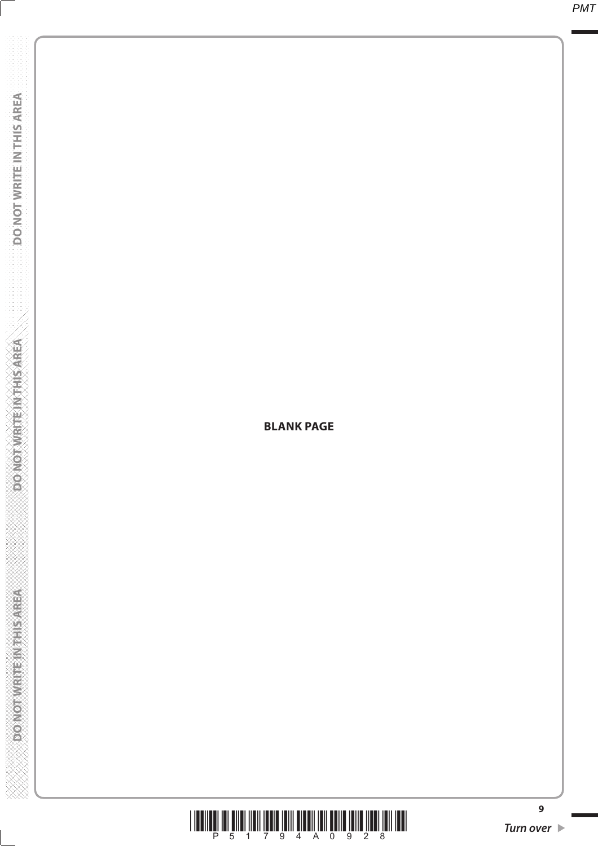

**DONOTWRITEINTHSAREA** 

談

**DO NOT WRITE IN THIS AREA** 

**BLANK PAGE**

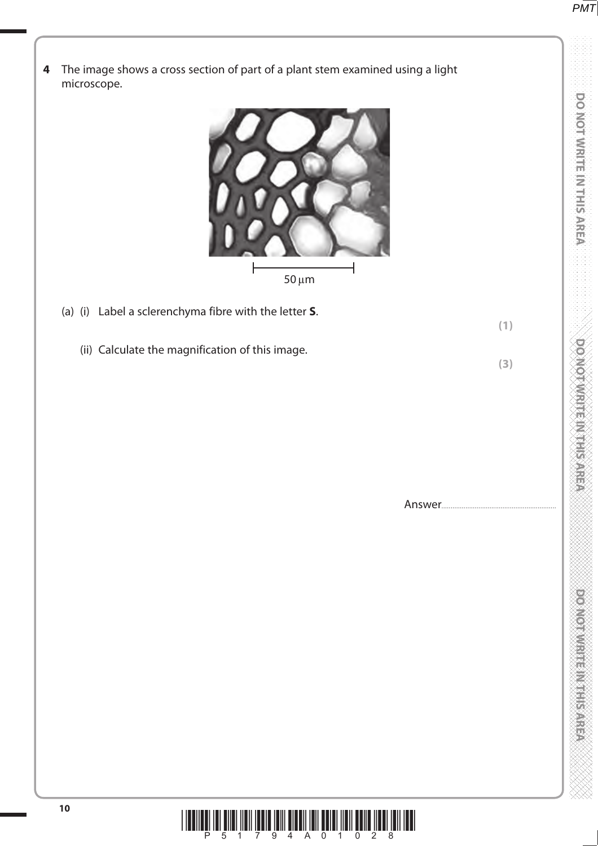

Answer......

DO NOT WRITE IN THIS AREA



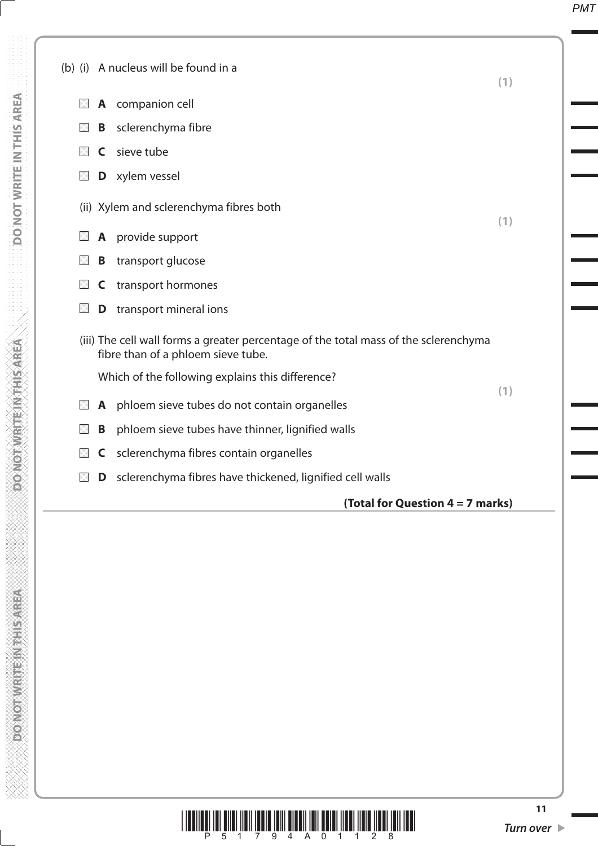|              |              | (b) (i) A nucleus will be found in a                                                                                       | (1) |
|--------------|--------------|----------------------------------------------------------------------------------------------------------------------------|-----|
|              | A            | companion cell                                                                                                             |     |
| $\mathbb{R}$ | B            | sclerenchyma fibre                                                                                                         |     |
| $\boxtimes$  | $\mathsf{C}$ | sieve tube                                                                                                                 |     |
|              |              | <b>D</b> xylem vessel                                                                                                      |     |
|              |              | (ii) Xylem and sclerenchyma fibres both                                                                                    | (1) |
| $\times$     |              | A provide support                                                                                                          |     |
| $\mathbb{X}$ | B            | transport glucose                                                                                                          |     |
| $\boxtimes$  | C            | transport hormones                                                                                                         |     |
| $\boxtimes$  | D            | transport mineral ions                                                                                                     |     |
|              |              | (iii) The cell wall forms a greater percentage of the total mass of the sclerenchyma<br>fibre than of a phloem sieve tube. |     |
|              |              | Which of the following explains this difference?                                                                           |     |
| X            | A            | phloem sieve tubes do not contain organelles                                                                               | (1) |
| $\times$     | B            | phloem sieve tubes have thinner, lignified walls                                                                           |     |
| X            | C            | sclerenchyma fibres contain organelles                                                                                     |     |
|              | D            | sclerenchyma fibres have thickened, lignified cell walls                                                                   |     |
|              |              | (Total for Question 4 = 7 marks)                                                                                           |     |



**PONORWATER INTERNATION** 

**NANANA NA MANANA NA MANANA NA MANANA NA MAN**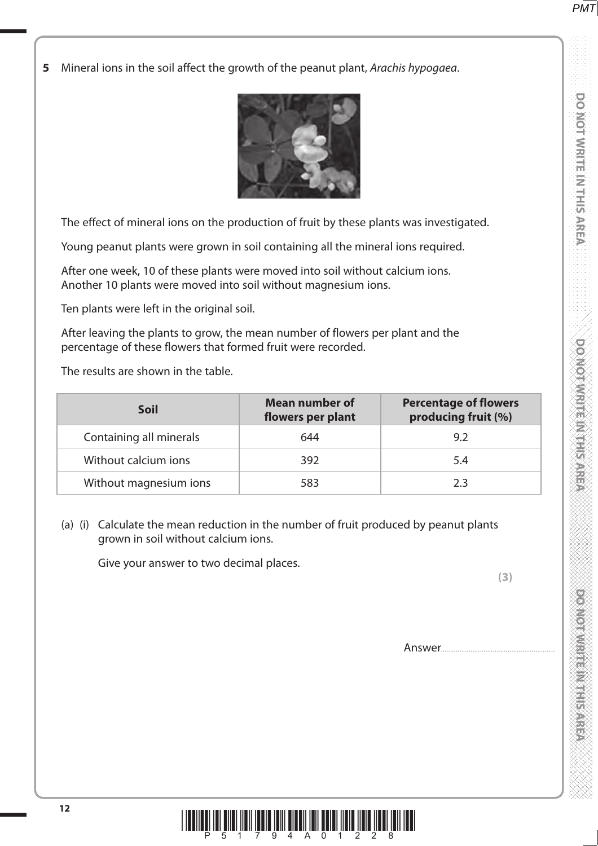**DOXIONAMENT EXERCISE** 

**5** Mineral ions in the soil affect the growth of the peanut plant, Arachis hypogaea.



The effect of mineral ions on the production of fruit by these plants was investigated.

Young peanut plants were grown in soil containing all the mineral ions required.

 After one week, 10 of these plants were moved into soil without calcium ions. Another 10 plants were moved into soil without magnesium ions.

Ten plants were left in the original soil.

 After leaving the plants to grow, the mean number of flowers per plant and the percentage of these flowers that formed fruit were recorded.

The results are shown in the table.

| <b>Soil</b>             | <b>Mean number of</b><br>flowers per plant | <b>Percentage of flowers</b><br>producing fruit (%) |
|-------------------------|--------------------------------------------|-----------------------------------------------------|
| Containing all minerals | 644                                        | 9.2                                                 |
| Without calcium ions    | 392                                        | 5.4                                                 |
| Without magnesium ions  | 583                                        | 23                                                  |

 (a) (i) Calculate the mean reduction in the number of fruit produced by peanut plants grown in soil without calcium ions.

Give your answer to two decimal places.

**(3)**

Answer...........



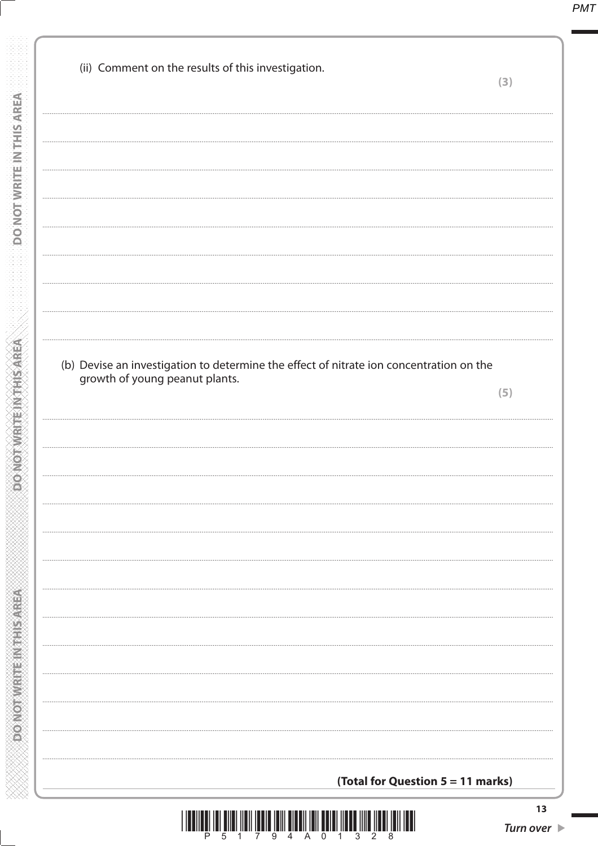| (ii) Comment on the results of this investigation.                                      | (3)                                   |
|-----------------------------------------------------------------------------------------|---------------------------------------|
|                                                                                         |                                       |
|                                                                                         |                                       |
| $\cdots$<br>$\cdots$                                                                    |                                       |
|                                                                                         |                                       |
|                                                                                         |                                       |
| (b) Devise an investigation to determine the effect of nitrate ion concentration on the |                                       |
| growth of young peanut plants.                                                          | (5)                                   |
|                                                                                         |                                       |
|                                                                                         |                                       |
|                                                                                         |                                       |
|                                                                                         |                                       |
|                                                                                         |                                       |
|                                                                                         |                                       |
|                                                                                         |                                       |
|                                                                                         |                                       |
| (Total for Question 5 = 11 marks)                                                       |                                       |
|                                                                                         | 13<br>Turn over $\blacktriangleright$ |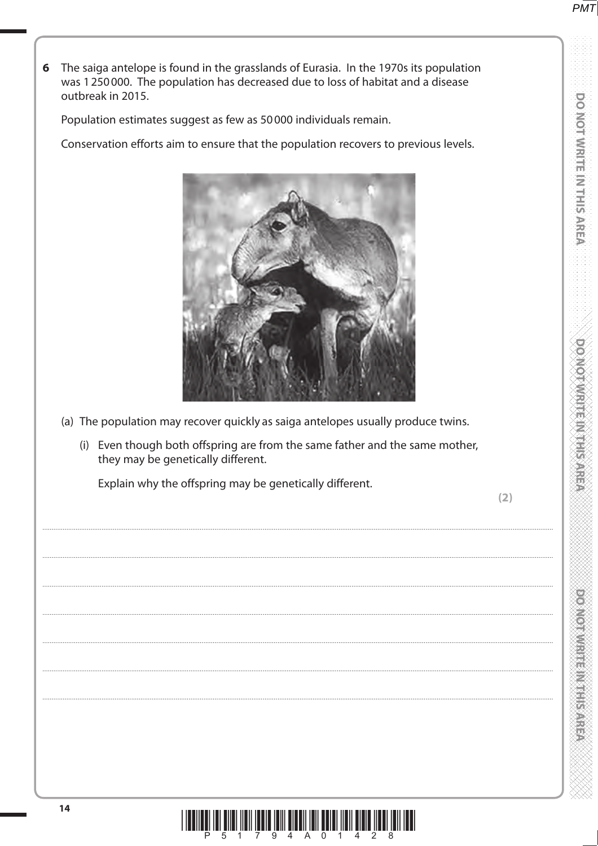**DOMOLANRICHTSWEER** 

**CONCORDINATION** 

6 The saiga antelope is found in the grasslands of Eurasia. In the 1970s its population was 1250000. The population has decreased due to loss of habitat and a disease outbreak in 2015.

Population estimates suggest as few as 50000 individuals remain.

Conservation efforts aim to ensure that the population recovers to previous levels.



- (a) The population may recover quickly as saiga antelopes usually produce twins.
	- (i) Even though both offspring are from the same father and the same mother, they may be genetically different.

Explain why the offspring may be genetically different.

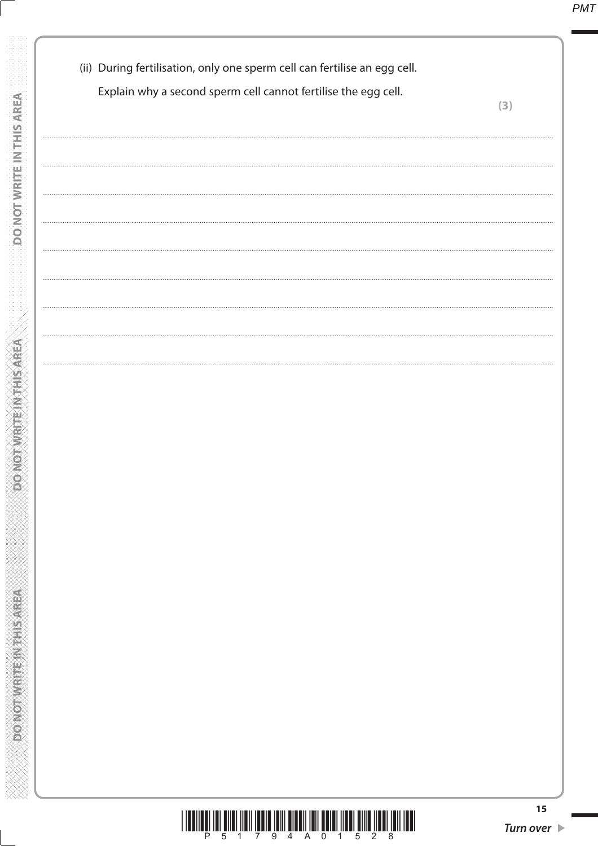| Explain why a second sperm cell cannot fertilise the egg cell.                           |                                 |
|------------------------------------------------------------------------------------------|---------------------------------|
|                                                                                          | (3)                             |
|                                                                                          |                                 |
|                                                                                          |                                 |
|                                                                                          |                                 |
|                                                                                          |                                 |
|                                                                                          |                                 |
|                                                                                          |                                 |
|                                                                                          |                                 |
|                                                                                          |                                 |
|                                                                                          |                                 |
|                                                                                          |                                 |
|                                                                                          |                                 |
|                                                                                          |                                 |
|                                                                                          |                                 |
|                                                                                          |                                 |
|                                                                                          |                                 |
|                                                                                          |                                 |
|                                                                                          |                                 |
|                                                                                          |                                 |
|                                                                                          |                                 |
|                                                                                          |                                 |
|                                                                                          |                                 |
|                                                                                          |                                 |
|                                                                                          |                                 |
|                                                                                          |                                 |
|                                                                                          |                                 |
|                                                                                          |                                 |
|                                                                                          |                                 |
|                                                                                          |                                 |
|                                                                                          |                                 |
|                                                                                          |                                 |
|                                                                                          |                                 |
|                                                                                          |                                 |
|                                                                                          |                                 |
|                                                                                          |                                 |
|                                                                                          |                                 |
|                                                                                          |                                 |
| <u> IIII DANI III DAN JIN DIN JIN JIN JI</u><br>$\blacksquare$<br>∭                      | Turn over $\blacktriangleright$ |
| $\overline{P}$ 5<br>$9 \t 4 \t A \t 0 \t 1 \t 5$<br>$2^{11}8$<br>$7 -$<br>$\overline{1}$ |                                 |

**DOMOTWRITEIN GHEAL CONCORDINATION CONCORDINATE IN THIS AREA** 

**ABRISHED MANUSCRIPTION**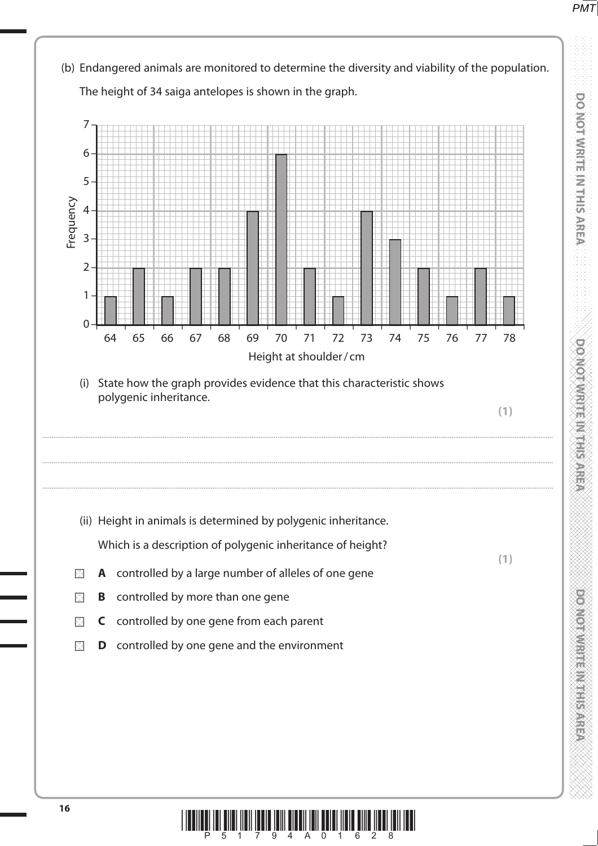

**DO NOT WRITE IN THIS AREA DO NOT WRITE IN THIS AREA DO NOT WRITE IN THIS AREA DO NOT WRITE IN THIS AREA DO NOT WRITE IN THIS AREA DO NOT WRITE IN THIS AREA DO NOT WRITE IN THIS AREA DO NOT WRITE IN THIS AREA DO NOT WRITE** 

**DOMOTWRITE INTERESTREA** 

**DOMODIAN EXTERNAL SARES** 

*PMT*

**DO NOT WRITE IN THIS AREA** 

**<sup>16</sup>** \*P51794A01628\*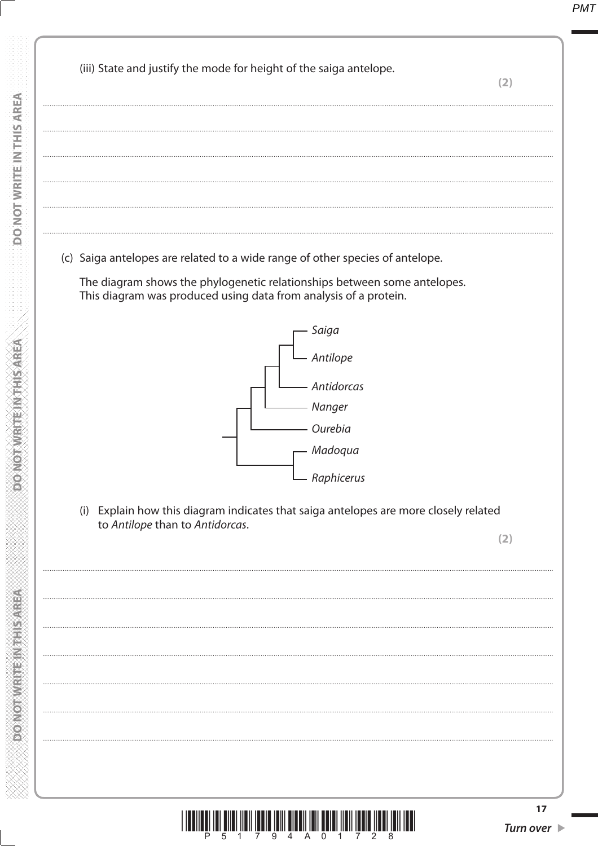|                                 | (iii) State and justify the mode for height of the saiga antelope.                                                                           | (2) |
|---------------------------------|----------------------------------------------------------------------------------------------------------------------------------------------|-----|
|                                 |                                                                                                                                              |     |
|                                 | (c) Saiga antelopes are related to a wide range of other species of antelope.                                                                |     |
|                                 | The diagram shows the phylogenetic relationships between some antelopes.<br>This diagram was produced using data from analysis of a protein. |     |
|                                 | Saiga                                                                                                                                        |     |
|                                 | Antilope                                                                                                                                     |     |
|                                 | Antidorcas                                                                                                                                   |     |
|                                 | Nanger                                                                                                                                       |     |
|                                 | Ourebia<br>Madoqua                                                                                                                           |     |
|                                 | Raphicerus                                                                                                                                   |     |
|                                 | (i) Explain how this diagram indicates that saiga antelopes are more closely related                                                         |     |
| to Antilope than to Antidorcas. |                                                                                                                                              | (2) |
|                                 |                                                                                                                                              |     |
|                                 |                                                                                                                                              |     |
|                                 |                                                                                                                                              |     |
|                                 |                                                                                                                                              |     |
|                                 |                                                                                                                                              |     |
|                                 |                                                                                                                                              |     |
|                                 |                                                                                                                                              |     |
|                                 |                                                                                                                                              |     |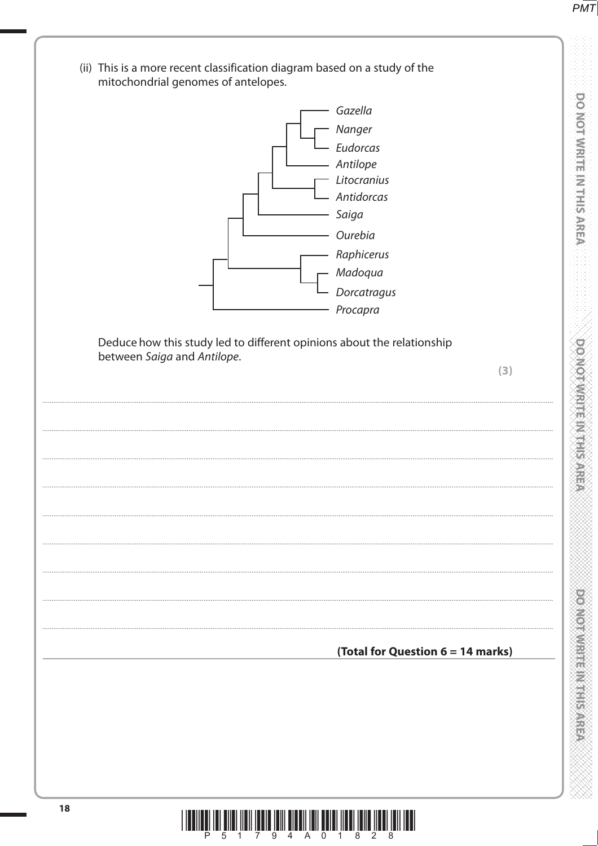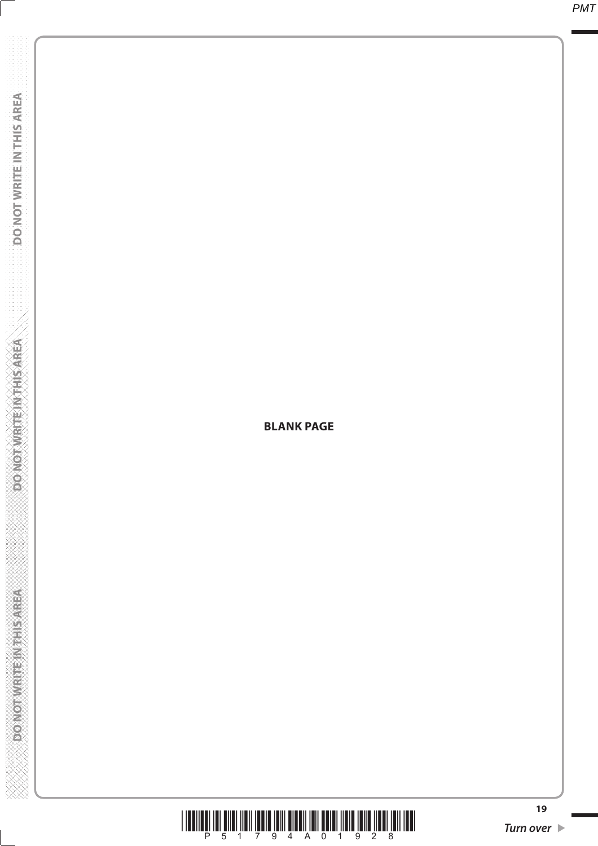**BLANK PAGE**

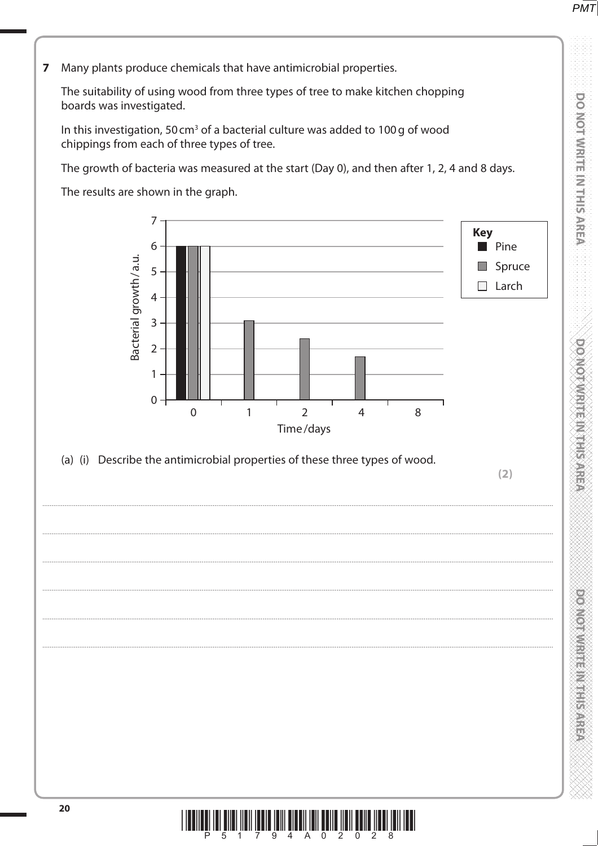**DOMOTIVITE IN THE STEEP** 

**DOMOROUS HEADS IN STREET** 

Many plants produce chemicals that have antimicrobial properties.  $\overline{7}$ 

The suitability of using wood from three types of tree to make kitchen chopping boards was investigated.

In this investigation, 50 cm<sup>3</sup> of a bacterial culture was added to 100 g of wood chippings from each of three types of tree.

The growth of bacteria was measured at the start (Day 0), and then after 1, 2, 4 and 8 days.

The results are shown in the graph.



(a) (i) Describe the antimicrobial properties of these three types of wood.

 $(2)$ 

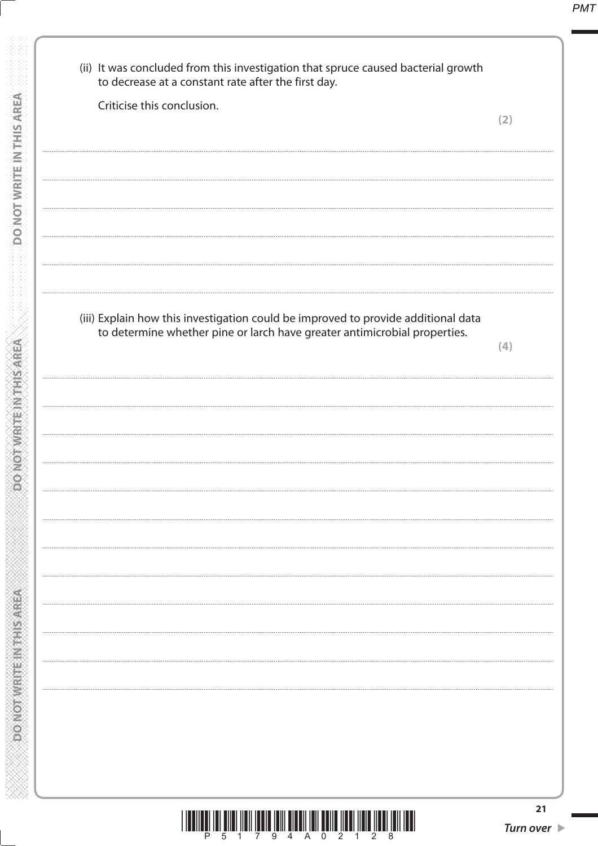| to decrease at a constant rate after the first day.                                                                                                            |     |
|----------------------------------------------------------------------------------------------------------------------------------------------------------------|-----|
| Criticise this conclusion.                                                                                                                                     | (2) |
|                                                                                                                                                                |     |
|                                                                                                                                                                |     |
|                                                                                                                                                                |     |
|                                                                                                                                                                |     |
|                                                                                                                                                                |     |
| (iii) Explain how this investigation could be improved to provide additional data<br>to determine whether pine or larch have greater antimicrobial properties. | (4) |
|                                                                                                                                                                |     |
|                                                                                                                                                                |     |
|                                                                                                                                                                |     |
|                                                                                                                                                                |     |
|                                                                                                                                                                |     |
|                                                                                                                                                                |     |
|                                                                                                                                                                |     |
|                                                                                                                                                                |     |
|                                                                                                                                                                |     |
|                                                                                                                                                                |     |
|                                                                                                                                                                |     |
|                                                                                                                                                                |     |
|                                                                                                                                                                |     |

**DONOTWEITEINTHISAREA** 

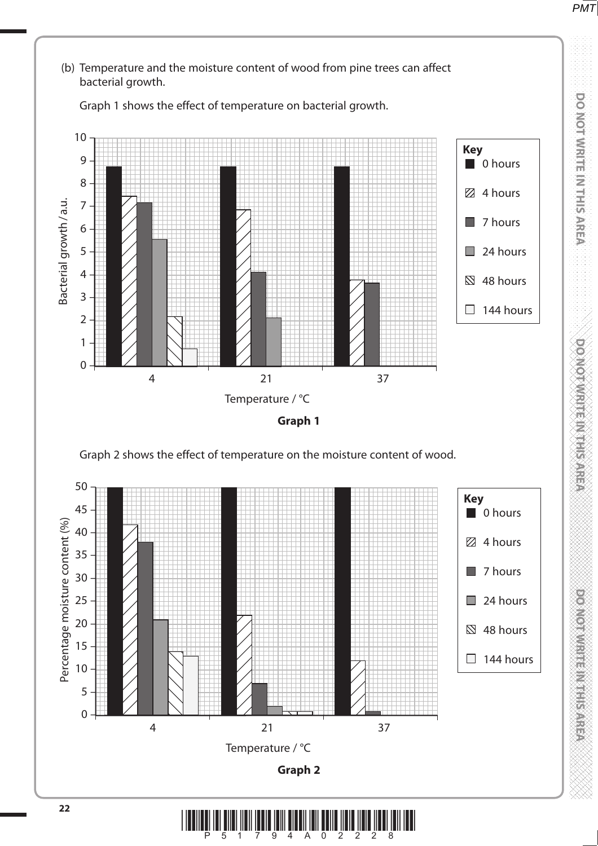





**DO NOT WRITE IN THIS AREA DO NOT WRITE IN THIS AREA DO NOT WRITE IN THIS AREA DO NOT WRITE IN THIS AREA DO NOT WRITE IN THIS AREA DO NOT WRITE IN THIS AREA DO NOT WRITE IN THIS AREA DO NOT WRITE IN THIS AREA DO NOT WRITE CONCRETE METALS AND STREET** 

*PMT*

**DO NOT WRITE IN THIS AREA** 

**DOMOTIVISIE IN HISTORICA**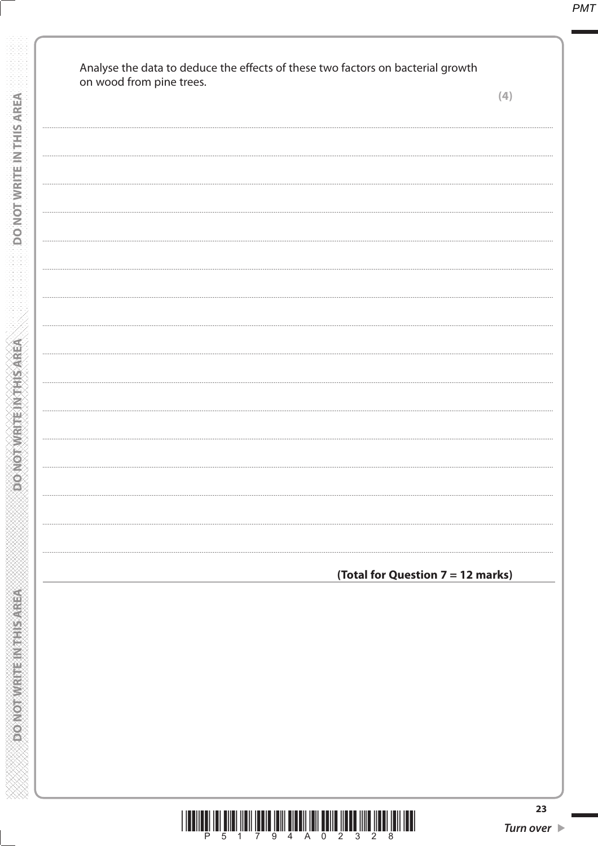|                               | Analyse the data to deduce the effects of these two factors on bacterial growth<br>on wood from pine trees. |     |
|-------------------------------|-------------------------------------------------------------------------------------------------------------|-----|
|                               |                                                                                                             | (4) |
|                               | $\cdots$                                                                                                    |     |
|                               |                                                                                                             |     |
| DO NOT WRITE IN THIS AREA     |                                                                                                             |     |
|                               |                                                                                                             |     |
|                               |                                                                                                             |     |
|                               |                                                                                                             |     |
| <b>DOMOTOWRITENNATIESAREA</b> |                                                                                                             |     |
|                               | <br>                                                                                                        |     |
|                               |                                                                                                             |     |
|                               |                                                                                                             |     |
|                               |                                                                                                             |     |
|                               |                                                                                                             |     |
|                               | (Total for Question 7 = 12 marks)                                                                           |     |
|                               |                                                                                                             |     |
|                               |                                                                                                             |     |
|                               |                                                                                                             |     |
| <b>DONOTWEEPINGER</b>         |                                                                                                             |     |
|                               |                                                                                                             |     |
|                               |                                                                                                             |     |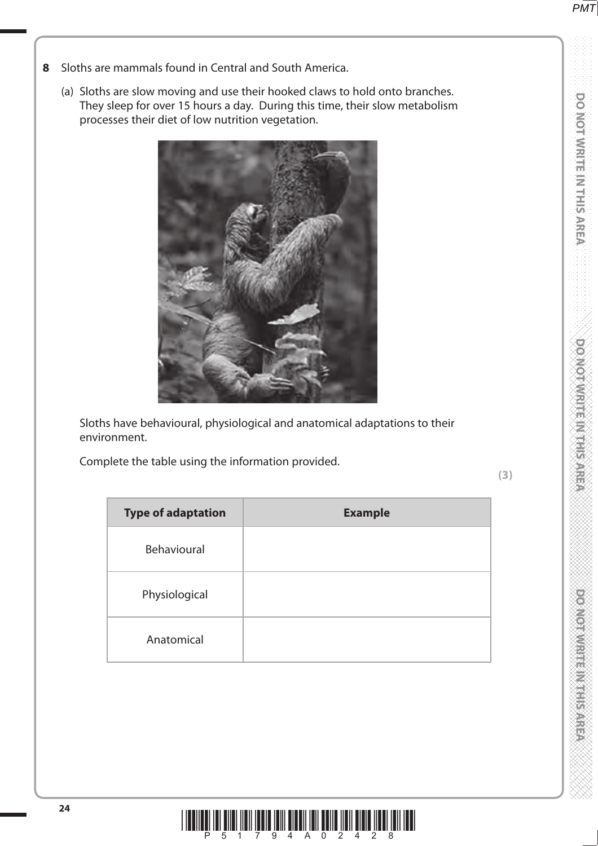**DO NOT WRITE IN THIS AREA DO NOT WRITE IN THIS AREA DO NOT WRITE IN THIS AREA DO NOT WRITE IN THIS AREA DO NOT WRITE IN THIS AREA DO NOT WRITE IN THIS AREA DO NOT WRITE IN THIS AREA DO NOT WRITE IN THIS AREA DO NOT WRITE** 

**DOMONWRITE IN THIS AREA** 

**DO MOTIVE IT RIGHTS REPORTS!** 

- **8** Sloths are mammals found in Central and South America.
	- (a) Sloths are slow moving and use their hooked claws to hold onto branches. They sleep for over 15 hours a day. During this time, their slow metabolism processes their diet of low nutrition vegetation.



 Sloths have behavioural, physiological and anatomical adaptations to their environment.

Complete the table using the information provided.

**(3)**

| <b>Type of adaptation</b> | <b>Example</b> |
|---------------------------|----------------|
| <b>Behavioural</b>        |                |
| Physiological             |                |
| Anatomical                |                |

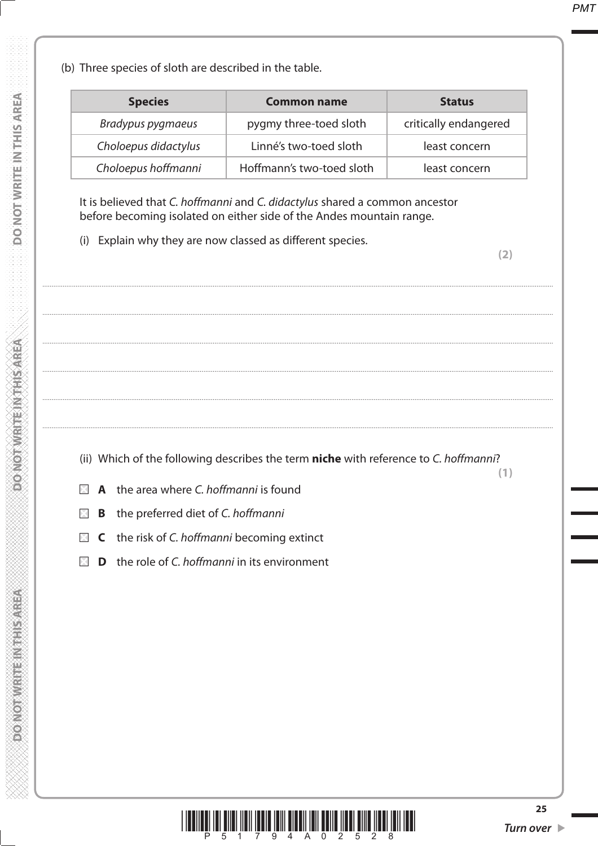(b) Three species of sloth are described in the table.

**DO NOT WRITE IN THIS AREA** 

**OTAVRITENNITHIS/AREA** 

E

**A CANCEL AND RETAINERS ONCE** 

| <b>Species</b>       | <b>Common name</b>        | <b>Status</b>         |
|----------------------|---------------------------|-----------------------|
| Bradypus pygmaeus    | pygmy three-toed sloth    | critically endangered |
| Choloepus didactylus | Linné's two-toed sloth    | least concern         |
| Choloepus hoffmanni  | Hoffmann's two-toed sloth | least concern         |

It is believed that C. hoffmanni and C. didactylus shared a common ancestor before becoming isolated on either side of the Andes mountain range.

(i) Explain why they are now classed as different species.

 $(2)$ 

 $(1)$ 

(ii) Which of the following describes the term niche with reference to C. hoffmanni?

- $\blacksquare$  **A** the area where *C. hoffmanni* is found
- $\blacksquare$  **B** the preferred diet of C. hoffmanni
- $\blacksquare$  **C** the risk of *C. hoffmanni* becoming extinct
- $\Box$  **D** the role of C. hoffmanni in its environment

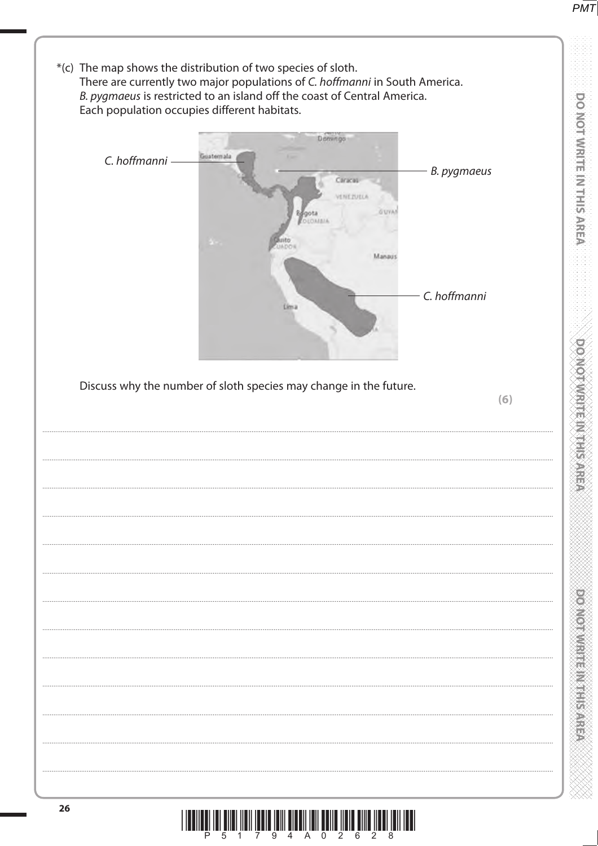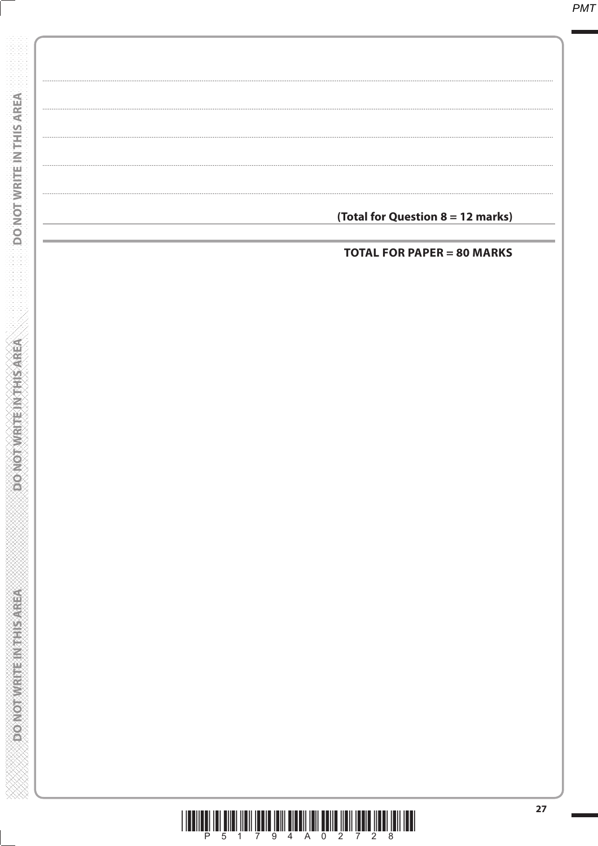